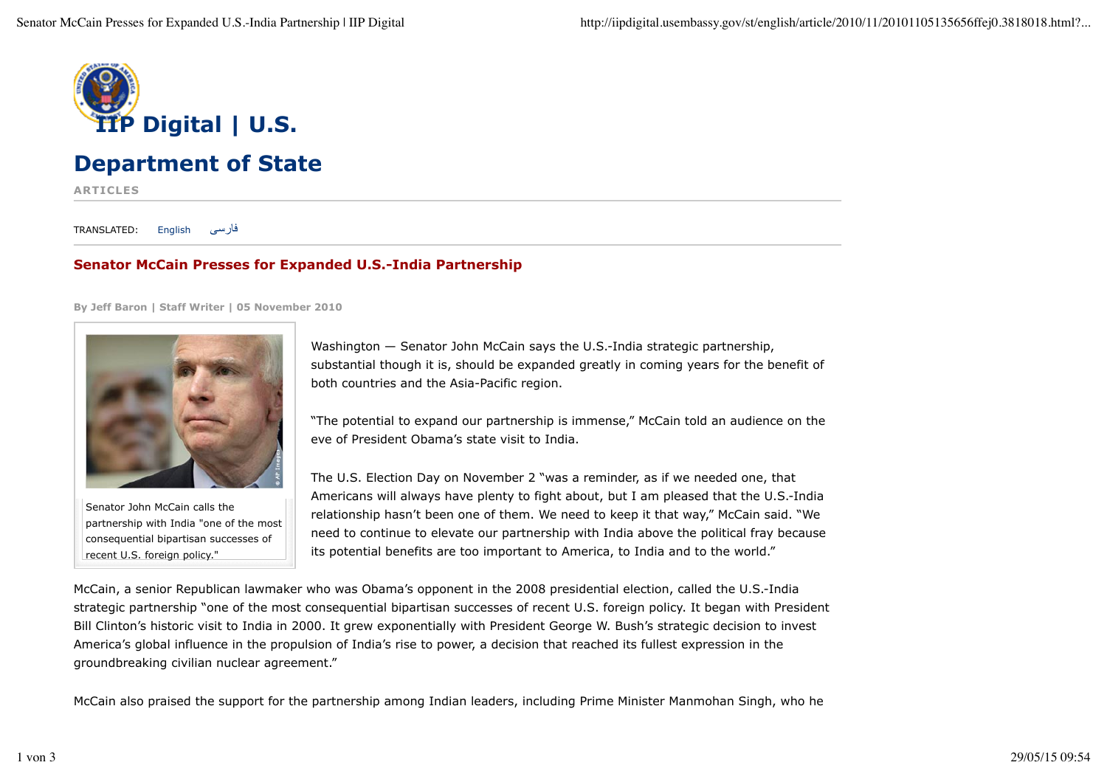

## **Department of State**

**ARTICLES**

TRANSLATED: English فارسی

## **Senator McCain Presses for Expanded U.S.-India Partnership**

**By Jeff Baron | Staff Writer | 05 November 2010**



Senator John McCain calls the partnership with India "one of the most consequential bipartisan successes of recent U.S. foreign policy."

Washington — Senator John McCain says the U.S.-India strategic partnership, substantial though it is, should be expanded greatly in coming years for the benefit of both countries and the Asia-Pacific region.

"The potential to expand our partnership is immense," McCain told an audience on the eve of President Obama's state visit to India.

The U.S. Election Day on November 2 "was a reminder, as if we needed one, that Americans will always have plenty to fight about, but I am pleased that the U.S.-India relationship hasn't been one of them. We need to keep it that way," McCain said. "We need to continue to elevate our partnership with India above the political fray because its potential benefits are too important to America, to India and to the world."

McCain, a senior Republican lawmaker who was Obama's opponent in the 2008 presidential election, called the U.S.-India strategic partnership "one of the most consequential bipartisan successes of recent U.S. foreign policy. It began with President Bill Clinton's historic visit to India in 2000. It grew exponentially with President George W. Bush's strategic decision to invest America's global influence in the propulsion of India's rise to power, a decision that reached its fullest expression in the groundbreaking civilian nuclear agreement."

McCain also praised the support for the partnership among Indian leaders, including Prime Minister Manmohan Singh, who he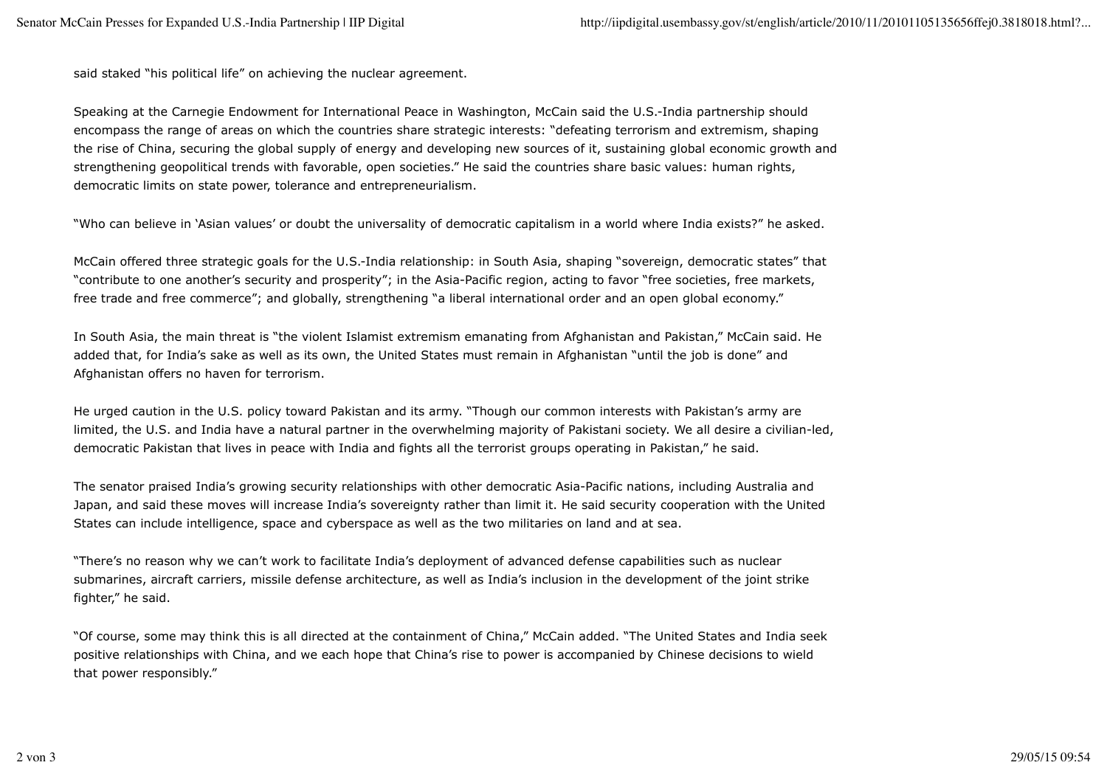said staked "his political life" on achieving the nuclear agreement.

Speaking at the Carnegie Endowment for International Peace in Washington, McCain said the U.S.-India partnership should encompass the range of areas on which the countries share strategic interests: "defeating terrorism and extremism, shaping the rise of China, securing the global supply of energy and developing new sources of it, sustaining global economic growth and strengthening geopolitical trends with favorable, open societies." He said the countries share basic values: human rights, democratic limits on state power, tolerance and entrepreneurialism.

"Who can believe in 'Asian values' or doubt the universality of democratic capitalism in a world where India exists?" he asked.

McCain offered three strategic goals for the U.S.-India relationship: in South Asia, shaping "sovereign, democratic states" that "contribute to one another's security and prosperity"; in the Asia-Pacific region, acting to favor "free societies, free markets, free trade and free commerce"; and globally, strengthening "a liberal international order and an open global economy."

In South Asia, the main threat is "the violent Islamist extremism emanating from Afghanistan and Pakistan," McCain said. He added that, for India's sake as well as its own, the United States must remain in Afghanistan "until the job is done" and Afghanistan offers no haven for terrorism.

He urged caution in the U.S. policy toward Pakistan and its army. "Though our common interests with Pakistan's army are limited, the U.S. and India have a natural partner in the overwhelming majority of Pakistani society. We all desire a civilian-led, democratic Pakistan that lives in peace with India and fights all the terrorist groups operating in Pakistan," he said.

The senator praised India's growing security relationships with other democratic Asia-Pacific nations, including Australia and Japan, and said these moves will increase India's sovereignty rather than limit it. He said security cooperation with the United States can include intelligence, space and cyberspace as well as the two militaries on land and at sea.

"There's no reason why we can't work to facilitate India's deployment of advanced defense capabilities such as nuclear submarines, aircraft carriers, missile defense architecture, as well as India's inclusion in the development of the joint strike fighter," he said.

"Of course, some may think this is all directed at the containment of China," McCain added. "The United States and India seek positive relationships with China, and we each hope that China's rise to power is accompanied by Chinese decisions to wield that power responsibly."